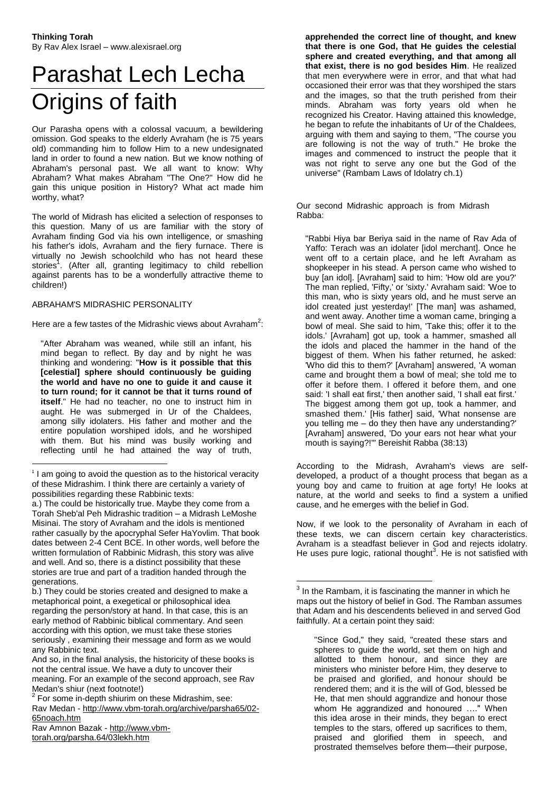# Parashat Lech Lecha Origins of faith

Our Parasha opens with a colossal vacuum, a bewildering omission. God speaks to the elderly Avraham (he is 75 years old) commanding him to follow Him to a new undesignated land in order to found a new nation. But we know nothing of Abraham's personal past. We all want to know: Why Abraham? What makes Abraham "The One?" How did he gain this unique position in History? What act made him worthy, what?

The world of Midrash has elicited a selection of responses to this question. Many of us are familiar with the story of Avraham finding God via his own intelligence, or smashing his father's idols, Avraham and the fiery furnace. There is virtually no Jewish schoolchild who has not heard these stories<sup>1</sup>. (After all, granting legitimacy to child rebellion against parents has to be a wonderfully attractive theme to children!)

#### ABRAHAM'S MIDRASHIC PERSONALITY

 $\overline{a}$ 

Here are a few tastes of the Midrashic views about Avraham<sup>2</sup>:

"After Abraham was weaned, while still an infant, his mind began to reflect. By day and by night he was thinking and wondering: "**How is it possible that this [celestial] sphere should continuously be guiding the world and have no one to guide it and cause it to turn round; for it cannot be that it turns round of itself**." He had no teacher, no one to instruct him in aught. He was submerged in Ur of the Chaldees, among silly idolaters. His father and mother and the entire population worshiped idols, and he worshiped with them. But his mind was busily working and reflecting until he had attained the way of truth,

b.) They could be stories created and designed to make a metaphorical point, a exegetical or philosophical idea regarding the person/story at hand. In that case, this is an early method of Rabbinic biblical commentary. And seen according with this option, we must take these stories seriously , examining their message and form as we would any Rabbinic text.

Rav Amnon Bazak - [http://www.vbm](http://www.vbm-torah.org/parsha.64/03lekh.htm)[torah.org/parsha.64/03lekh.htm](http://www.vbm-torah.org/parsha.64/03lekh.htm)

**apprehended the correct line of thought, and knew that there is one God, that He guides the celestial sphere and created everything, and that among all that exist, there is no god besides Him**. He realized that men everywhere were in error, and that what had occasioned their error was that they worshiped the stars and the images, so that the truth perished from their minds. Abraham was forty years old when he recognized his Creator. Having attained this knowledge, he began to refute the inhabitants of Ur of the Chaldees, arguing with them and saying to them, "The course you are following is not the way of truth." He broke the images and commenced to instruct the people that it was not right to serve any one but the God of the universe" (Rambam Laws of Idolatry ch.1)

Our second Midrashic approach is from Midrash Rabba:

"Rabbi Hiya bar Beriya said in the name of Rav Ada of Yaffo: Terach was an idolater [idol merchant]. Once he went off to a certain place, and he left Avraham as shopkeeper in his stead. A person came who wished to buy [an idol]. [Avraham] said to him: 'How old are you?' The man replied, 'Fifty,' or 'sixty.' Avraham said: 'Woe to this man, who is sixty years old, and he must serve an idol created just yesterday!' [The man] was ashamed, and went away. Another time a woman came, bringing a bowl of meal. She said to him, 'Take this; offer it to the idols.' [Avraham] got up, took a hammer, smashed all the idols and placed the hammer in the hand of the biggest of them. When his father returned, he asked: 'Who did this to them?' [Avraham] answered, 'A woman came and brought them a bowl of meal; she told me to offer it before them. I offered it before them, and one said: 'I shall eat first,' then another said, 'I shall eat first.' The biggest among them got up, took a hammer, and smashed them.' [His father] said, 'What nonsense are you telling me – do they then have any understanding?' [Avraham] answered, 'Do your ears not hear what your mouth is saying?!'" Bereishit Rabba (38:13)

According to the Midrash, Avraham's views are selfdeveloped, a product of a thought process that began as a young boy and came to fruition at age forty! He looks at nature, at the world and seeks to find a system a unified cause, and he emerges with the belief in God.

Now, if we look to the personality of Avraham in each of these texts, we can discern certain key characteristics. Avraham is a steadfast believer in God and rejects idolatry. He uses pure logic, rational thought<sup>3</sup>. He is not satisfied with

1

<sup>&</sup>lt;sup>1</sup> I am going to avoid the question as to the historical veracity of these Midrashim. I think there are certainly a variety of possibilities regarding these Rabbinic texts:

a.) The could be historically true. Maybe they come from a Torah Sheb'al Peh Midrashic tradition – a Midrash LeMoshe Misinai. The story of Avraham and the idols is mentioned rather casually by the apocryphal Sefer HaYovlim. That book dates between 2-4 Cent BCE. In other words, well before the written formulation of Rabbinic Midrash, this story was alive and well. And so, there is a distinct possibility that these stories are true and part of a tradition handed through the generations.

And so, in the final analysis, the historicity of these books is not the central issue. We have a duty to uncover their meaning. For an example of the second approach, see Rav Medan's shiur (next footnote!)

 $2$  For some in-depth shiurim on these Midrashim, see: Rav Medan - [http://www.vbm-torah.org/archive/parsha65/02-](http://www.vbm-torah.org/archive/parsha65/02-65noach.htm) [65noach.htm](http://www.vbm-torah.org/archive/parsha65/02-65noach.htm)

 $3$  In the Rambam, it is fascinating the manner in which he maps out the history of belief in God. The Ramban assumes that Adam and his descendents believed in and served God faithfully. At a certain point they said:

<sup>&</sup>quot;Since God," they said, "created these stars and spheres to guide the world, set them on high and allotted to them honour, and since they are ministers who minister before Him, they deserve to be praised and glorified, and honour should be rendered them; and it is the will of God, blessed be He, that men should aggrandize and honour those whom He aggrandized and honoured ...." When this idea arose in their minds, they began to erect temples to the stars, offered up sacrifices to them, praised and glorified them in speech, and prostrated themselves before them—their purpose,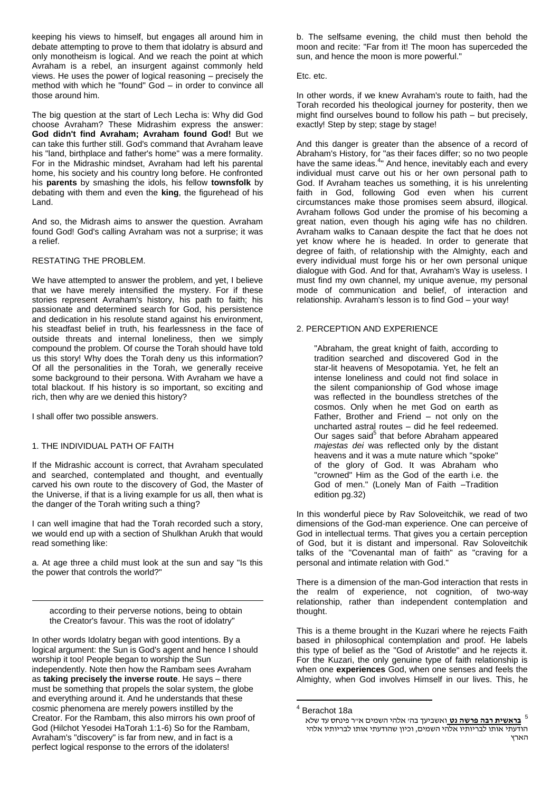keeping his views to himself, but engages all around him in debate attempting to prove to them that idolatry is absurd and only monotheism is logical. And we reach the point at which Avraham is a rebel, an insurgent against commonly held views. He uses the power of logical reasoning – precisely the method with which he "found" God – in order to convince all those around him.

The big question at the start of Lech Lecha is: Why did God choose Avraham? These Midrashim express the answer: **God didn't find Avraham; Avraham found God!** But we can take this further still. God's command that Avraham leave his "land, birthplace and father's home" was a mere formality. For in the Midrashic mindset, Avraham had left his parental home, his society and his country long before. He confronted his **parents** by smashing the idols, his fellow **townsfolk** by debating with them and even the **king**, the figurehead of his Land.

And so, the Midrash aims to answer the question. Avraham found God! God's calling Avraham was not a surprise; it was a relief.

#### RESTATING THE PROBLEM.

We have attempted to answer the problem, and yet, I believe that we have merely intensified the mystery. For if these stories represent Avraham's history, his path to faith; his passionate and determined search for God, his persistence and dedication in his resolute stand against his environment, his steadfast belief in truth, his fearlessness in the face of outside threats and internal loneliness, then we simply compound the problem. Of course the Torah should have told us this story! Why does the Torah deny us this information? Of all the personalities in the Torah, we generally receive some background to their persona. With Avraham we have a total blackout. If his history is so important, so exciting and rich, then why are we denied this history?

I shall offer two possible answers.

 $\overline{a}$ 

#### 1. THE INDIVIDUAL PATH OF FAITH

If the Midrashic account is correct, that Avraham speculated and searched, contemplated and thought, and eventually carved his own route to the discovery of God, the Master of the Universe, if that is a living example for us all, then what is the danger of the Torah writing such a thing?

I can well imagine that had the Torah recorded such a story, we would end up with a section of Shulkhan Arukh that would read something like:

a. At age three a child must look at the sun and say "Is this the power that controls the world?"

according to their perverse notions, being to obtain the Creator's favour. This was the root of idolatry"

In other words Idolatry began with good intentions. By a logical argument: the Sun is God's agent and hence I should worship it too! People began to worship the Sun independently. Note then how the Rambam sees Avraham as **taking precisely the inverse route**. He says – there must be something that propels the solar system, the globe and everything around it. And he understands that these cosmic phenomena are merely powers instilled by the Creator. For the Rambam, this also mirrors his own proof of God (Hilchot Yesodei HaTorah 1:1-6) So for the Rambam, Avraham's "discovery" is far from new, and in fact is a perfect logical response to the errors of the idolaters!

b. The selfsame evening, the child must then behold the moon and recite: "Far from it! The moon has superceded the sun, and hence the moon is more powerful."

Etc. etc.

In other words, if we knew Avraham's route to faith, had the Torah recorded his theological journey for posterity, then we might find ourselves bound to follow his path – but precisely, exactly! Step by step; stage by stage!

And this danger is greater than the absence of a record of Abraham's History, for "as their faces differ; so no two people have the same ideas.<sup>4</sup> And hence, inevitably each and every individual must carve out his or her own personal path to God. If Avraham teaches us something, it is his unrelenting faith in God, following God even when his current circumstances make those promises seem absurd, illogical. Avraham follows God under the promise of his becoming a great nation, even though his aging wife has no children. Avraham walks to Canaan despite the fact that he does not yet know where he is headed. In order to generate that degree of faith, of relationship with the Almighty, each and every individual must forge his or her own personal unique dialogue with God. And for that, Avraham's Way is useless. I must find my own channel, my unique avenue, my personal mode of communication and belief, of interaction and relationship. Avraham's lesson is to find God – your way!

## 2. PERCEPTION AND EXPERIENCE

"Abraham, the great knight of faith, according to tradition searched and discovered God in the star-lit heavens of Mesopotamia. Yet, he felt an intense loneliness and could not find solace in the silent companionship of God whose image was reflected in the boundless stretches of the cosmos. Only when he met God on earth as Father, Brother and Friend – not only on the uncharted astral routes – did he feel redeemed. Our sages said<sup>5</sup> that before Abraham appeared *majestas dei* was reflected only by the distant heavens and it was a mute nature which "spoke" of the glory of God. It was Abraham who "crowned" Him as the God of the earth i.e. the God of men." (Lonely Man of Faith –Tradition edition pg.32)

In this wonderful piece by Rav Soloveitchik, we read of two dimensions of the God-man experience. One can perceive of God in intellectual terms. That gives you a certain perception of God, but it is distant and impersonal. Rav Soloveitchik talks of the "Covenantal man of faith" as "craving for a personal and intimate relation with God."

There is a dimension of the man-God interaction that rests in the realm of experience, not cognition, of two-way relationship, rather than independent contemplation and thought.

This is a theme brought in the Kuzari where he rejects Faith based in philosophical contemplation and proof. He labels this type of belief as the "God of Aristotle" and he rejects it. For the Kuzari, the only genuine type of faith relationship is when one **experiences** God, when one senses and feels the Almighty, when God involves Himself in our lives. This, he

1

<sup>4</sup> Berachot 18a

<sup>5</sup> **בראשית רבה פרשה נט** ואשביעך בה' אלהי השמים א"ר פינחס עד שלא הודעתי אותו לבריותיו אלהי השמים, וכיון שהודעתי אותו לבריותיו אלהי הארץ